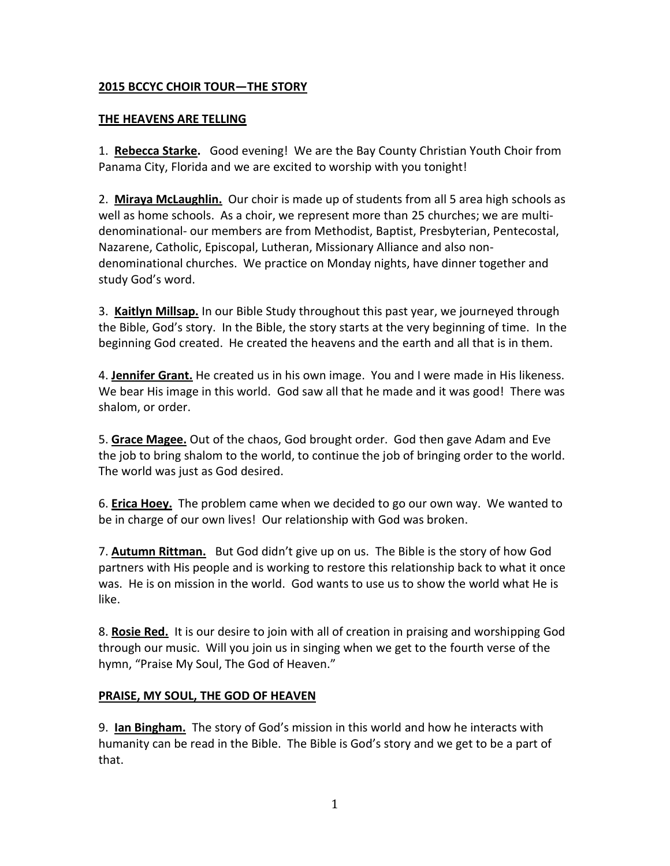### **2015 BCCYC CHOIR TOUR—THE STORY**

#### **THE HEAVENS ARE TELLING**

1. **Rebecca Starke.** Good evening! We are the Bay County Christian Youth Choir from Panama City, Florida and we are excited to worship with you tonight!

2. **Miraya McLaughlin.** Our choir is made up of students from all 5 area high schools as well as home schools. As a choir, we represent more than 25 churches; we are multidenominational- our members are from Methodist, Baptist, Presbyterian, Pentecostal, Nazarene, Catholic, Episcopal, Lutheran, Missionary Alliance and also nondenominational churches. We practice on Monday nights, have dinner together and study God's word.

3. **Kaitlyn Millsap.** In our Bible Study throughout this past year, we journeyed through the Bible, God's story. In the Bible, the story starts at the very beginning of time. In the beginning God created. He created the heavens and the earth and all that is in them.

4. **Jennifer Grant.** He created us in his own image. You and I were made in His likeness. We bear His image in this world. God saw all that he made and it was good! There was shalom, or order.

5. **Grace Magee.** Out of the chaos, God brought order. God then gave Adam and Eve the job to bring shalom to the world, to continue the job of bringing order to the world. The world was just as God desired.

6. **Erica Hoey.** The problem came when we decided to go our own way. We wanted to be in charge of our own lives! Our relationship with God was broken.

7. **Autumn Rittman.** But God didn't give up on us. The Bible is the story of how God partners with His people and is working to restore this relationship back to what it once was. He is on mission in the world. God wants to use us to show the world what He is like.

8. **Rosie Red.** It is our desire to join with all of creation in praising and worshipping God through our music. Will you join us in singing when we get to the fourth verse of the hymn, "Praise My Soul, The God of Heaven."

#### **PRAISE, MY SOUL, THE GOD OF HEAVEN**

9. **Ian Bingham.** The story of God's mission in this world and how he interacts with humanity can be read in the Bible. The Bible is God's story and we get to be a part of that.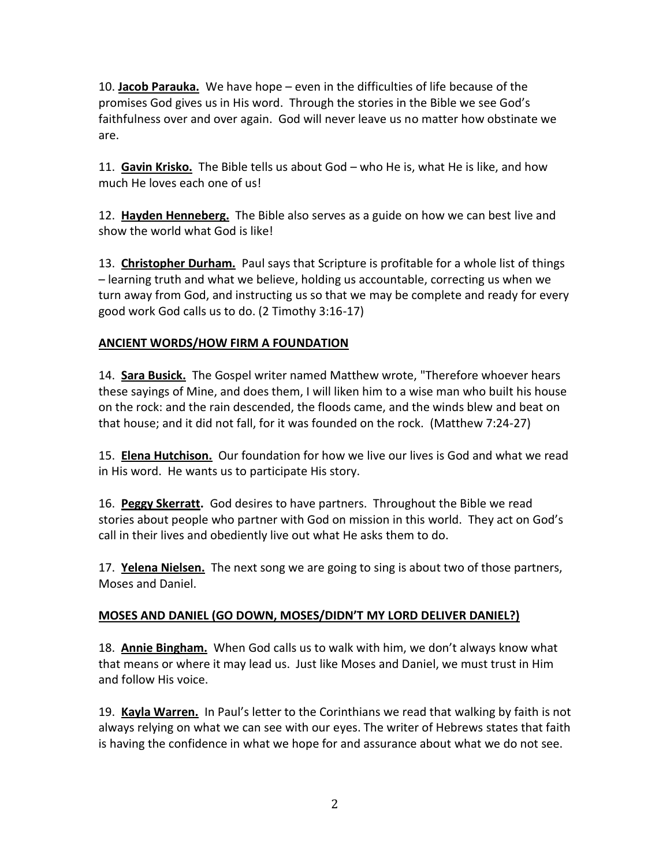10. **Jacob Parauka.** We have hope – even in the difficulties of life because of the promises God gives us in His word. Through the stories in the Bible we see God's faithfulness over and over again. God will never leave us no matter how obstinate we are.

11. **Gavin Krisko.** The Bible tells us about God – who He is, what He is like, and how much He loves each one of us!

12. **Hayden Henneberg.** The Bible also serves as a guide on how we can best live and show the world what God is like!

13. **Christopher Durham.** Paul says that Scripture is profitable for a whole list of things – learning truth and what we believe, holding us accountable, correcting us when we turn away from God, and instructing us so that we may be complete and ready for every good work God calls us to do. (2 Timothy 3:16-17)

# **ANCIENT WORDS/HOW FIRM A FOUNDATION**

14. **Sara Busick.** The Gospel writer named Matthew wrote, "Therefore whoever hears these sayings of Mine, and does them, I will liken him to a wise man who built his house on the rock: and the rain descended, the floods came, and the winds blew and beat on that house; and it did not fall, for it was founded on the rock. (Matthew 7:24-27)

15. **Elena Hutchison.** Our foundation for how we live our lives is God and what we read in His word. He wants us to participate His story.

16. **Peggy Skerratt.** God desires to have partners. Throughout the Bible we read stories about people who partner with God on mission in this world. They act on God's call in their lives and obediently live out what He asks them to do.

17. **Yelena Nielsen.** The next song we are going to sing is about two of those partners, Moses and Daniel.

# **MOSES AND DANIEL (GO DOWN, MOSES/DIDN'T MY LORD DELIVER DANIEL?)**

18. **Annie Bingham.** When God calls us to walk with him, we don't always know what that means or where it may lead us. Just like Moses and Daniel, we must trust in Him and follow His voice.

19. **Kayla Warren.** In Paul's letter to the Corinthians we read that walking by faith is not always relying on what we can see with our eyes. The writer of Hebrews states that faith is having the confidence in what we hope for and assurance about what we do not see.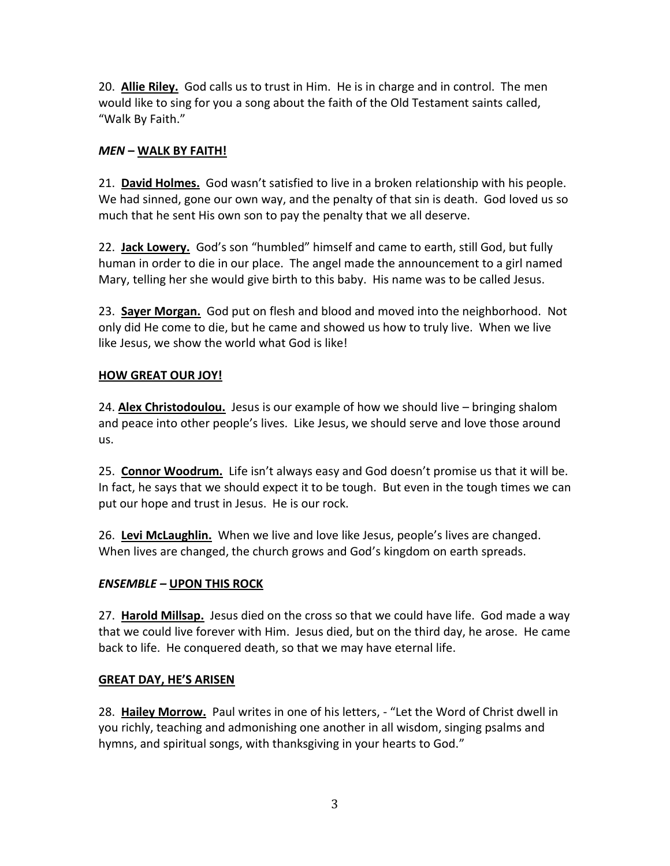20. **Allie Riley.** God calls us to trust in Him. He is in charge and in control. The men would like to sing for you a song about the faith of the Old Testament saints called, "Walk By Faith."

### *MEN* **– WALK BY FAITH!**

21. **David Holmes.** God wasn't satisfied to live in a broken relationship with his people. We had sinned, gone our own way, and the penalty of that sin is death. God loved us so much that he sent His own son to pay the penalty that we all deserve.

22. **Jack Lowery.** God's son "humbled" himself and came to earth, still God, but fully human in order to die in our place. The angel made the announcement to a girl named Mary, telling her she would give birth to this baby. His name was to be called Jesus.

23. **Sayer Morgan.** God put on flesh and blood and moved into the neighborhood. Not only did He come to die, but he came and showed us how to truly live. When we live like Jesus, we show the world what God is like!

### **HOW GREAT OUR JOY!**

24. **Alex Christodoulou.** Jesus is our example of how we should live – bringing shalom and peace into other people's lives. Like Jesus, we should serve and love those around us.

25. **Connor Woodrum.** Life isn't always easy and God doesn't promise us that it will be. In fact, he says that we should expect it to be tough. But even in the tough times we can put our hope and trust in Jesus. He is our rock.

26. **Levi McLaughlin.** When we live and love like Jesus, people's lives are changed. When lives are changed, the church grows and God's kingdom on earth spreads.

# *ENSEMBLE –* **UPON THIS ROCK**

27. **Harold Millsap.** Jesus died on the cross so that we could have life. God made a way that we could live forever with Him. Jesus died, but on the third day, he arose. He came back to life. He conquered death, so that we may have eternal life.

#### **GREAT DAY, HE'S ARISEN**

28. **Hailey Morrow.** Paul writes in one of his letters, - "Let the Word of Christ dwell in you richly, teaching and admonishing one another in all wisdom, singing psalms and hymns, and spiritual songs, with thanksgiving in your hearts to God."